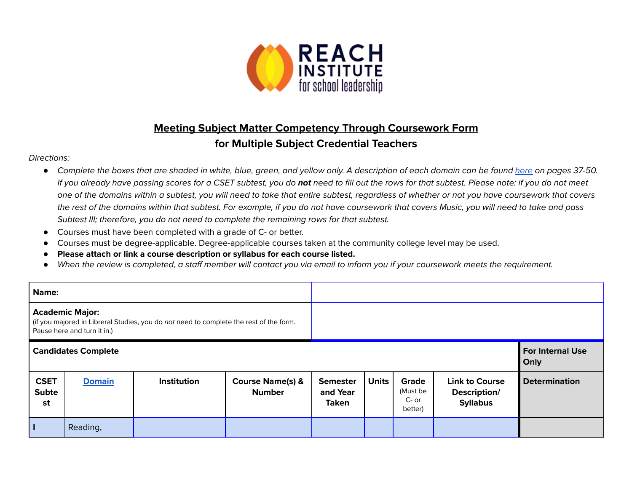

## **Meeting Subject Matter Competency Through Coursework Form for Multiple Subject Credential Teachers**

## Directions:

- *●* Complete the boxes that are shaded in white, blue, green, and yellow only. A description of each domain can be found [here](https://www.ctc.ca.gov/docs/default-source/educator-prep/files/domains-of-subject-matter-requirements.pdf?sfvrsn=dcd525b1_2) on pages 37-50. If you already have passing scores for a CSET subtest, you do **not** need to fill out the rows for that subtest. Please note: if you do not meet one of the domains within a subtest, you will need to take that entire subtest, regardless of whether or not you have coursework that covers the rest of the domains within that subtest. For example, if you do not have coursework that covers Music, you will need to take and pass Subtest III; therefore, you do not need to complete the remaining rows for that subtest.
- Courses must have been completed with a grade of C- or better.
- Courses must be degree-applicable. Degree-applicable courses taken at the community college level may be used.
- *●* **Please attach or link a course description or syllabus for each course listed.**
- When the review is completed, a staff member will contact you via email to inform you if your coursework meets the requirement.

| Name:                                                                                                                                           |               |                    |                                              |                                             |              |                                         |                                                          |                                 |
|-------------------------------------------------------------------------------------------------------------------------------------------------|---------------|--------------------|----------------------------------------------|---------------------------------------------|--------------|-----------------------------------------|----------------------------------------------------------|---------------------------------|
| <b>Academic Major:</b><br>(if you majored in Libreral Studies, you do not need to complete the rest of the form.<br>Pause here and turn it in.) |               |                    |                                              |                                             |              |                                         |                                                          |                                 |
| <b>Candidates Complete</b>                                                                                                                      |               |                    |                                              |                                             |              |                                         |                                                          | <b>For Internal Use</b><br>Only |
| <b>CSET</b><br><b>Subte</b><br>st                                                                                                               | <b>Domain</b> | <b>Institution</b> | <b>Course Name(s) &amp;</b><br><b>Number</b> | <b>Semester</b><br>and Year<br><b>Taken</b> | <b>Units</b> | Grade<br>(Must be<br>$C-$ or<br>better) | <b>Link to Course</b><br>Description/<br><b>Syllabus</b> | <b>Determination</b>            |
| Π                                                                                                                                               | Reading,      |                    |                                              |                                             |              |                                         |                                                          |                                 |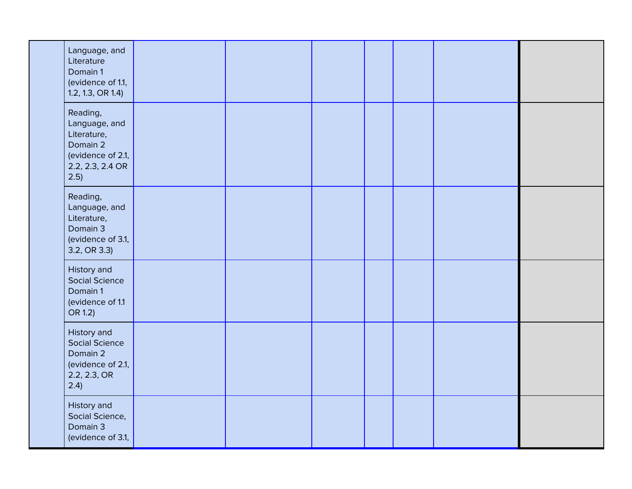|  | Language, and<br>Literature<br>Domain 1<br>(evidence of 1.1,<br>1.2, 1.3, OR 1.4                      |  |  |  |  |
|--|-------------------------------------------------------------------------------------------------------|--|--|--|--|
|  | Reading,<br>Language, and<br>Literature,<br>Domain 2<br>(evidence of 2.1,<br>2.2, 2.3, 2.4 OR<br>2.5) |  |  |  |  |
|  | Reading,<br>Language, and<br>Literature,<br>Domain 3<br>(evidence of 3.1,<br>3.2, OR 3.3)             |  |  |  |  |
|  | History and<br><b>Social Science</b><br>Domain 1<br>(evidence of 1.1<br>OR 1.2)                       |  |  |  |  |
|  | History and<br><b>Social Science</b><br>Domain 2<br>(evidence of 2.1,<br>2.2, 2.3, OR<br>2.4)         |  |  |  |  |
|  | History and<br>Social Science,<br>Domain 3<br>(evidence of 3.1,                                       |  |  |  |  |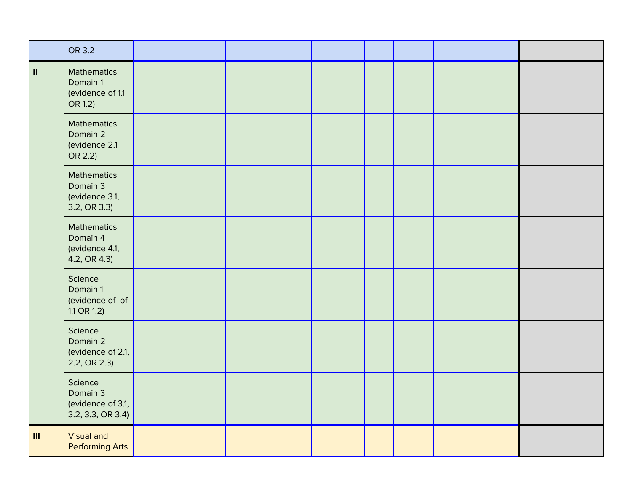|                | OR 3.2                                                           |  |  |  |  |
|----------------|------------------------------------------------------------------|--|--|--|--|
| $\,$ H         | <b>Mathematics</b><br>Domain 1<br>(evidence of 1.1<br>OR 1.2)    |  |  |  |  |
|                | <b>Mathematics</b><br>Domain 2<br>(evidence 2.1<br>OR 2.2)       |  |  |  |  |
|                | <b>Mathematics</b><br>Domain 3<br>(evidence 3.1,<br>3.2, OR 3.3) |  |  |  |  |
|                | <b>Mathematics</b><br>Domain 4<br>(evidence 4.1,<br>4.2, OR 4.3) |  |  |  |  |
|                | Science<br>Domain 1<br>(evidence of of<br>$1.1$ OR $1.2$ )       |  |  |  |  |
|                | Science<br>Domain 2<br>(evidence of 2.1,<br>2.2, OR 2.3)         |  |  |  |  |
|                | Science<br>Domain 3<br>(evidence of 3.1,<br>3.2, 3.3, OR 3.4)    |  |  |  |  |
| $\mathbf{III}$ | <b>Visual and</b><br><b>Performing Arts</b>                      |  |  |  |  |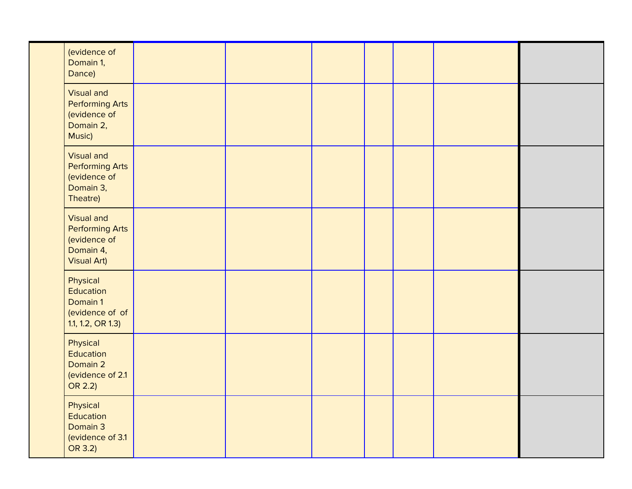|  | (evidence of<br>Domain 1,<br>Dance)                                                            |  |  |  |  |
|--|------------------------------------------------------------------------------------------------|--|--|--|--|
|  | <b>Visual and</b><br><b>Performing Arts</b><br>(evidence of<br>Domain 2,<br>Music)             |  |  |  |  |
|  | <b>Visual and</b><br><b>Performing Arts</b><br>(evidence of<br>Domain 3,<br>Theatre)           |  |  |  |  |
|  | <b>Visual and</b><br><b>Performing Arts</b><br>(evidence of<br>Domain 4,<br><b>Visual Art)</b> |  |  |  |  |
|  | Physical<br>Education<br>Domain 1<br>(evidence of of<br>1.1, 1.2, OR 1.3)                      |  |  |  |  |
|  | Physical<br>Education<br>Domain 2<br>(evidence of 2.1<br>OR 2.2)                               |  |  |  |  |
|  | Physical<br>Education<br>Domain 3<br>(evidence of 3.1<br>OR 3.2)                               |  |  |  |  |